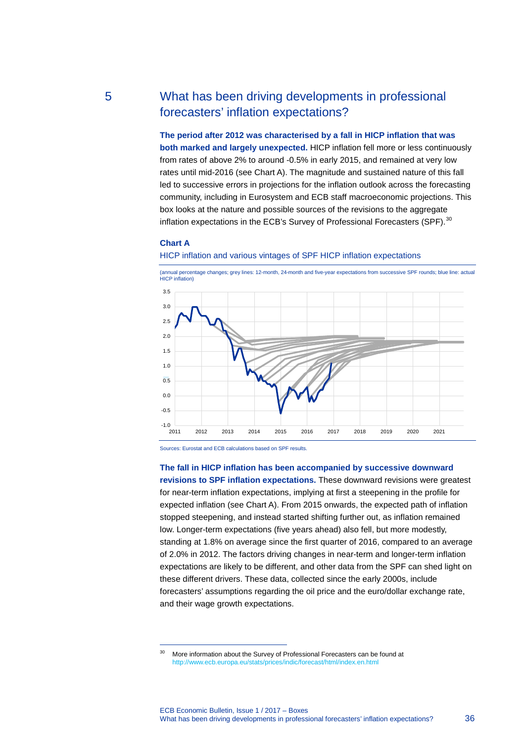# 5 What has been driving developments in professional forecasters' inflation expectations?

**The period after 2012 was characterised by a fall in HICP inflation that was both marked and largely unexpected.** HICP inflation fell more or less continuously from rates of above 2% to around -0.5% in early 2015, and remained at very low rates until mid-2016 (see Chart A). The magnitude and sustained nature of this fall led to successive errors in projections for the inflation outlook across the forecasting community, including in Eurosystem and ECB staff macroeconomic projections. This box looks at the nature and possible sources of the revisions to the aggregate inflation expectations in the ECB's Survey of Professional Forecasters (SPF).<sup>[30](#page-0-0)</sup>

### **Chart A**

-

#### HICP inflation and various vintages of SPF HICP inflation expectations



Sources: Eurostat and ECB calculations based on SPF results.

#### **The fall in HICP inflation has been accompanied by successive downward**

**revisions to SPF inflation expectations.** These downward revisions were greatest for near-term inflation expectations, implying at first a steepening in the profile for expected inflation (see Chart A). From 2015 onwards, the expected path of inflation stopped steepening, and instead started shifting further out, as inflation remained low. Longer-term expectations (five years ahead) also fell, but more modestly, standing at 1.8% on average since the first quarter of 2016, compared to an average of 2.0% in 2012. The factors driving changes in near-term and longer-term inflation expectations are likely to be different, and other data from the SPF can shed light on these different drivers. These data, collected since the early 2000s, include forecasters' assumptions regarding the oil price and the euro/dollar exchange rate, and their wage growth expectations.

<span id="page-0-0"></span><sup>&</sup>lt;sup>30</sup> More information about the Survey of Professional Forecasters can be found at <http://www.ecb.europa.eu/stats/prices/indic/forecast/html/index.en.html>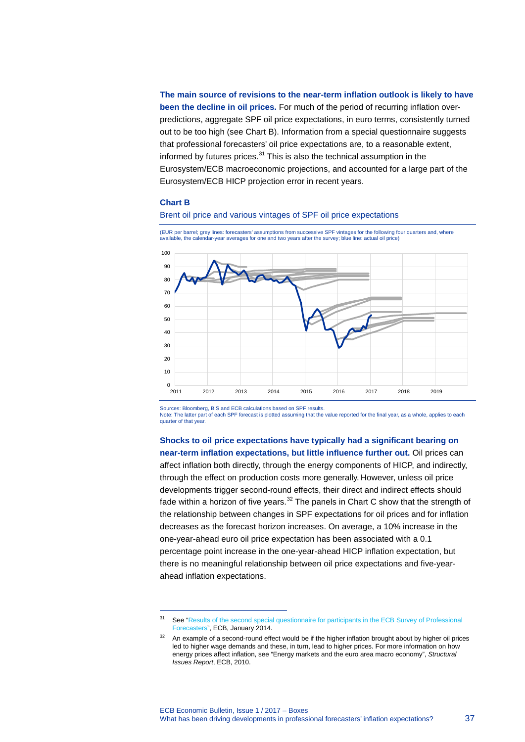**The main source of revisions to the near-term inflation outlook is likely to have been the decline in oil prices.** For much of the period of recurring inflation overpredictions, aggregate SPF oil price expectations, in euro terms, consistently turned out to be too high (see Chart B). Information from a special questionnaire suggests that professional forecasters' oil price expectations are, to a reasonable extent, informed by futures prices. $31$  This is also the technical assumption in the Eurosystem/ECB macroeconomic projections, and accounted for a large part of the Eurosystem/ECB HICP projection error in recent years.

#### **Chart B**

-





(EUR per barrel; grey lines: forecasters' assumptions from successive SPF vintages for the following four quarters and, where available, the calendar-year averages for one and two years after the survey; blue line: actual oil price)

Sources: Bloomberg, BIS and ECB calculations based on SPF results.

Note: The latter part of each SPF forecast is plotted assuming that the value reported for the final year, as a whole, applies to each quarter of that year.

**Shocks to oil price expectations have typically had a significant bearing on near-term inflation expectations, but little influence further out.** Oil prices can affect inflation both directly, through the energy components of HICP, and indirectly, through the effect on production costs more generally. However, unless oil price developments trigger second-round effects, their direct and indirect effects should fade within a horizon of five years. $32$  The panels in Chart C show that the strength of the relationship between changes in SPF expectations for oil prices and for inflation decreases as the forecast horizon increases. On average, a 10% increase in the one-year-ahead euro oil price expectation has been associated with a 0.1 percentage point increase in the one-year-ahead HICP inflation expectation, but there is no meaningful relationship between oil price expectations and five-yearahead inflation expectations.

<span id="page-1-0"></span><sup>&</sup>lt;sup>31</sup> See "Results of the second special questionnaire for participants in the ECB Survey of Professional [Forecasters"](http://www.ecb.europa.eu/stats/prices/indic/forecast/shared/files/resultssecondspecialquestionnaireecbsurveyspf201401en.pdf?26e2248f4bbbe621732d9f605135e85c), ECB, January 2014.

<span id="page-1-1"></span>An example of a second-round effect would be if the higher inflation brought about by higher oil prices led to higher wage demands and these, in turn, lead to higher prices. For more information on how energy prices affect inflation, see "Energy markets and the euro area macro economy", *Structural Issues Report*, ECB, 2010.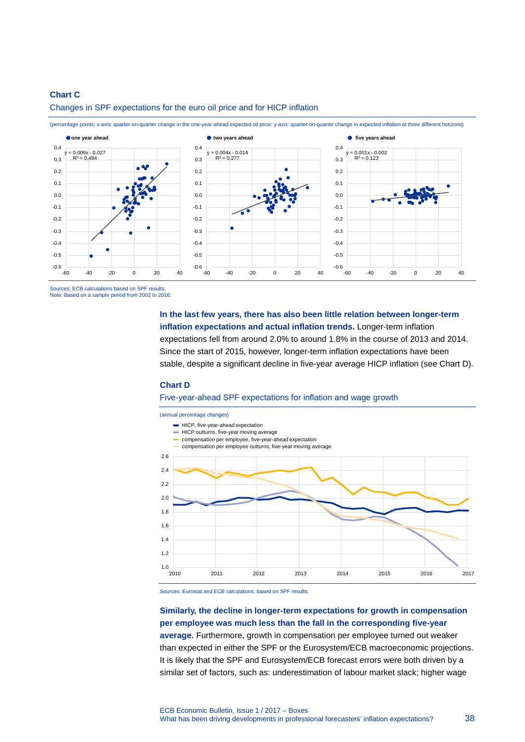## **Chart C**



Changes in SPF expectations for the euro oil price and for HICP inflation

(percentage points; x-axis: quarter-on-quarter change in the one-year-ahead expected oil price; y-axis: quarter-on-quarter change in expected inflation at three different horizons)

Sources: ECB calculations based on SPF results. Note: Based on a sample period from 2002 to 2016.

> **In the last few years, there has also been little relation between longer-term inflation expectations and actual inflation trends.** Longer-term inflation expectations fell from around 2.0% to around 1.8% in the course of 2013 and 2014. Since the start of 2015, however, longer-term inflation expectations have been stable, despite a significant decline in five-year average HICP inflation (see Chart D).

## **Chart D**

### Five-year-ahead SPF expectations for inflation and wage growth



Sources: Eurostat and ECB calculations, based on SPF results.

# **Similarly, the decline in longer-term expectations for growth in compensation per employee was much less than the fall in the corresponding five-year**

**average.** Furthermore, growth in compensation per employee turned out weaker than expected in either the SPF or the Eurosystem/ECB macroeconomic projections. It is likely that the SPF and Eurosystem/ECB forecast errors were both driven by a similar set of factors, such as: underestimation of labour market slack; higher wage